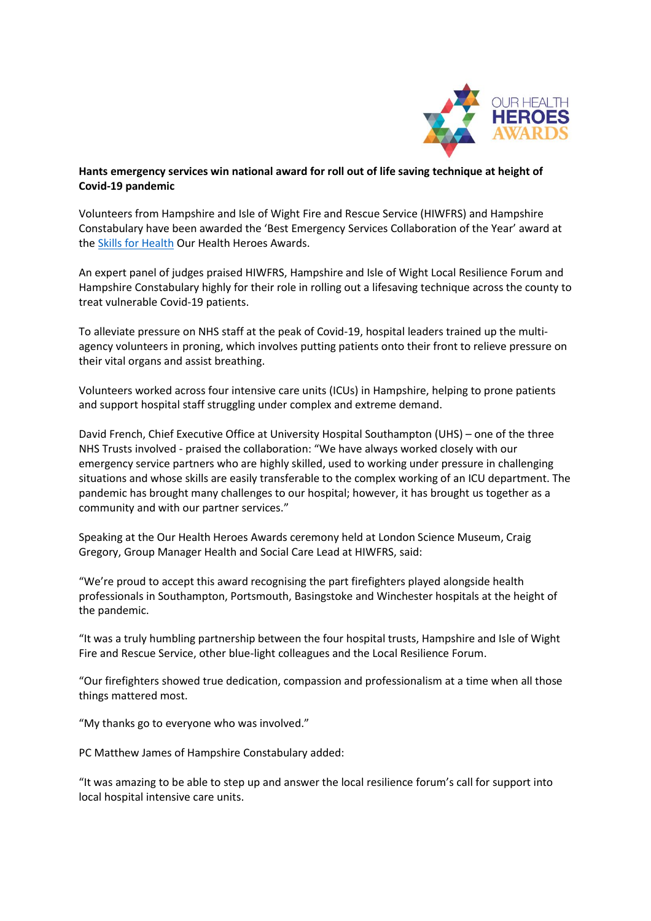

## **Hants emergency services win national award for roll out of life saving technique at height of Covid-19 pandemic**

Volunteers from Hampshire and Isle of Wight Fire and Rescue Service (HIWFRS) and Hampshire Constabulary have been awarded the 'Best Emergency Services Collaboration of the Year' award at the **[Skills for Health](https://www.skillsforhealth.org.uk/) Our Health Heroes Awards.** 

An expert panel of judges praised HIWFRS, Hampshire and Isle of Wight Local Resilience Forum and Hampshire Constabulary highly for their role in rolling out a lifesaving technique across the county to treat vulnerable Covid-19 patients.

To alleviate pressure on NHS staff at the peak of Covid-19, hospital leaders trained up the multiagency volunteers in proning, which involves putting patients onto their front to relieve pressure on their vital organs and assist breathing.

Volunteers worked across four intensive care units (ICUs) in Hampshire, helping to prone patients and support hospital staff struggling under complex and extreme demand.

David French, Chief Executive Office at University Hospital Southampton (UHS) – one of the three NHS Trusts involved - praised the collaboration: "We have always worked closely with our emergency service partners who are highly skilled, used to working under pressure in challenging situations and whose skills are easily transferable to the complex working of an ICU department. The pandemic has brought many challenges to our hospital; however, it has brought us together as a community and with our partner services."

Speaking at the Our Health Heroes Awards ceremony held at London Science Museum, Craig Gregory, Group Manager Health and Social Care Lead at HIWFRS, said:

"We're proud to accept this award recognising the part firefighters played alongside health professionals in Southampton, Portsmouth, Basingstoke and Winchester hospitals at the height of the pandemic.

"It was a truly humbling partnership between the four hospital trusts, Hampshire and Isle of Wight Fire and Rescue Service, other blue-light colleagues and the Local Resilience Forum.

"Our firefighters showed true dedication, compassion and professionalism at a time when all those things mattered most.

"My thanks go to everyone who was involved."

PC Matthew James of Hampshire Constabulary added:

"It was amazing to be able to step up and answer the local resilience forum's call for support into local hospital intensive care units.